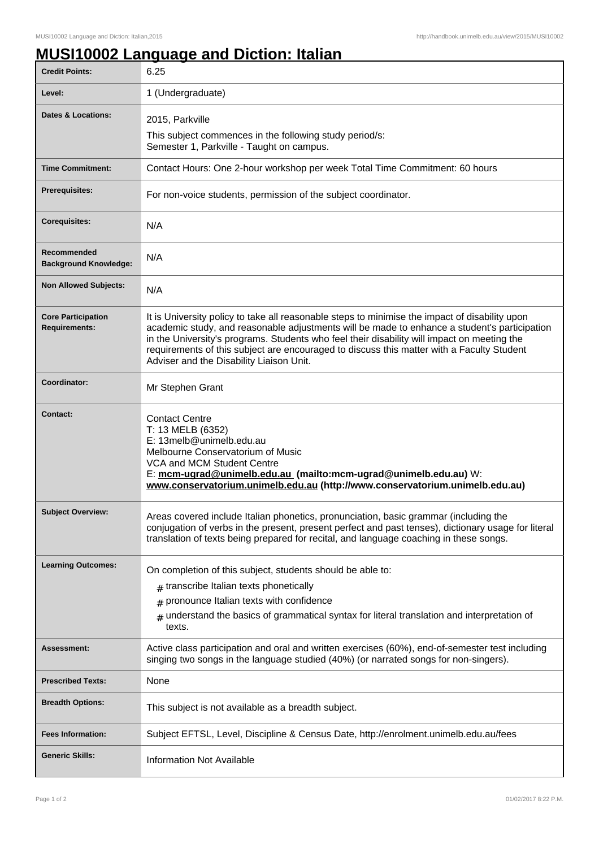## **MUSI10002 Language and Diction: Italian**

| <b>Credit Points:</b>                             | 6.25                                                                                                                                                                                                                                                                                                                                                                                                                                   |
|---------------------------------------------------|----------------------------------------------------------------------------------------------------------------------------------------------------------------------------------------------------------------------------------------------------------------------------------------------------------------------------------------------------------------------------------------------------------------------------------------|
| Level:                                            | 1 (Undergraduate)                                                                                                                                                                                                                                                                                                                                                                                                                      |
| Dates & Locations:                                | 2015, Parkville                                                                                                                                                                                                                                                                                                                                                                                                                        |
|                                                   | This subject commences in the following study period/s:<br>Semester 1, Parkville - Taught on campus.                                                                                                                                                                                                                                                                                                                                   |
| <b>Time Commitment:</b>                           | Contact Hours: One 2-hour workshop per week Total Time Commitment: 60 hours                                                                                                                                                                                                                                                                                                                                                            |
| <b>Prerequisites:</b>                             | For non-voice students, permission of the subject coordinator.                                                                                                                                                                                                                                                                                                                                                                         |
| <b>Corequisites:</b>                              | N/A                                                                                                                                                                                                                                                                                                                                                                                                                                    |
| Recommended<br><b>Background Knowledge:</b>       | N/A                                                                                                                                                                                                                                                                                                                                                                                                                                    |
| <b>Non Allowed Subjects:</b>                      | N/A                                                                                                                                                                                                                                                                                                                                                                                                                                    |
| <b>Core Participation</b><br><b>Requirements:</b> | It is University policy to take all reasonable steps to minimise the impact of disability upon<br>academic study, and reasonable adjustments will be made to enhance a student's participation<br>in the University's programs. Students who feel their disability will impact on meeting the<br>requirements of this subject are encouraged to discuss this matter with a Faculty Student<br>Adviser and the Disability Liaison Unit. |
| Coordinator:                                      | Mr Stephen Grant                                                                                                                                                                                                                                                                                                                                                                                                                       |
| Contact:                                          | <b>Contact Centre</b><br>T: 13 MELB (6352)<br>E: 13melb@unimelb.edu.au<br>Melbourne Conservatorium of Music<br>VCA and MCM Student Centre<br>E: mcm-ugrad@unimelb.edu.au (mailto:mcm-ugrad@unimelb.edu.au) W:<br>www.conservatorium.unimelb.edu.au (http://www.conservatorium.unimelb.edu.au)                                                                                                                                          |
| <b>Subject Overview:</b>                          | Areas covered include Italian phonetics, pronunciation, basic grammar (including the<br>conjugation of verbs in the present, present perfect and past tenses), dictionary usage for literal<br>translation of texts being prepared for recital, and language coaching in these songs.                                                                                                                                                  |
| <b>Learning Outcomes:</b>                         | On completion of this subject, students should be able to:<br>$#$ transcribe Italian texts phonetically<br>$#$ pronounce Italian texts with confidence<br>$_{\#}$ understand the basics of grammatical syntax for literal translation and interpretation of<br>texts.                                                                                                                                                                  |
| <b>Assessment:</b>                                | Active class participation and oral and written exercises (60%), end-of-semester test including<br>singing two songs in the language studied (40%) (or narrated songs for non-singers).                                                                                                                                                                                                                                                |
| <b>Prescribed Texts:</b>                          | None                                                                                                                                                                                                                                                                                                                                                                                                                                   |
| <b>Breadth Options:</b>                           | This subject is not available as a breadth subject.                                                                                                                                                                                                                                                                                                                                                                                    |
| <b>Fees Information:</b>                          | Subject EFTSL, Level, Discipline & Census Date, http://enrolment.unimelb.edu.au/fees                                                                                                                                                                                                                                                                                                                                                   |
| <b>Generic Skills:</b>                            | <b>Information Not Available</b>                                                                                                                                                                                                                                                                                                                                                                                                       |